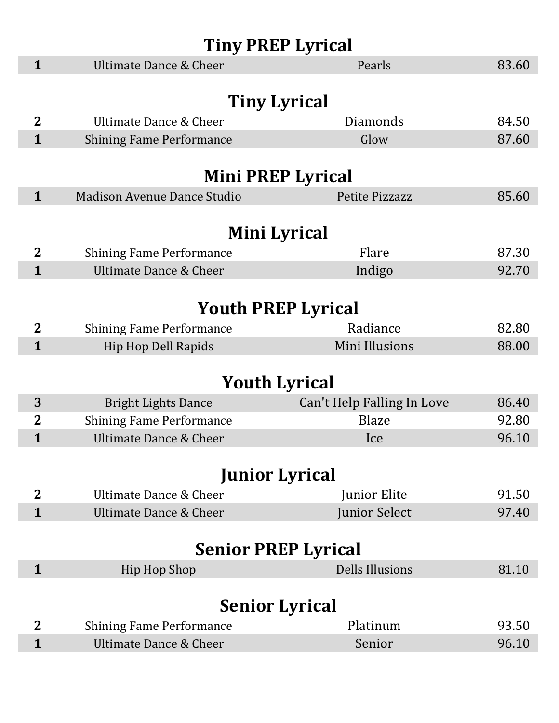| <b>Tiny PREP Lyrical</b>   |                                    |                            |       |  |  |
|----------------------------|------------------------------------|----------------------------|-------|--|--|
| $\mathbf{1}$               | <b>Ultimate Dance &amp; Cheer</b>  | Pearls                     | 83.60 |  |  |
|                            |                                    |                            |       |  |  |
|                            |                                    | <b>Tiny Lyrical</b>        |       |  |  |
| $\overline{2}$             | Ultimate Dance & Cheer             | Diamonds                   | 84.50 |  |  |
| $\mathbf{1}$               | <b>Shining Fame Performance</b>    | Glow                       | 87.60 |  |  |
|                            |                                    |                            |       |  |  |
|                            |                                    | <b>Mini PREP Lyrical</b>   |       |  |  |
| $\mathbf{1}$               | <b>Madison Avenue Dance Studio</b> | <b>Petite Pizzazz</b>      | 85.60 |  |  |
|                            |                                    |                            |       |  |  |
|                            |                                    | Mini Lyrical               |       |  |  |
| $\overline{2}$             | <b>Shining Fame Performance</b>    | Flare                      | 87.30 |  |  |
| $\mathbf{1}$               | <b>Ultimate Dance &amp; Cheer</b>  | Indigo                     | 92.70 |  |  |
|                            |                                    |                            |       |  |  |
|                            |                                    | <b>Youth PREP Lyrical</b>  |       |  |  |
| $\mathbf{2}$               | <b>Shining Fame Performance</b>    | Radiance                   | 82.80 |  |  |
| $\mathbf{1}$               | <b>Hip Hop Dell Rapids</b>         | Mini Illusions             | 88.00 |  |  |
|                            |                                    |                            |       |  |  |
|                            | <b>Youth Lyrical</b>               |                            |       |  |  |
| 3                          | <b>Bright Lights Dance</b>         | Can't Help Falling In Love | 86.40 |  |  |
| $\mathbf{2}$               | <b>Shining Fame Performance</b>    | <b>Blaze</b>               | 92.80 |  |  |
| 1                          | <b>Ultimate Dance &amp; Cheer</b>  | Ice                        | 96.10 |  |  |
|                            |                                    |                            |       |  |  |
|                            | <b>Junior Lyrical</b>              |                            |       |  |  |
| $\mathbf 2$                | Ultimate Dance & Cheer             | Junior Elite               | 91.50 |  |  |
| $\mathbf{1}$               | Ultimate Dance & Cheer             | Junior Select              | 97.40 |  |  |
|                            |                                    |                            |       |  |  |
| <b>Senior PREP Lyrical</b> |                                    |                            |       |  |  |
| $\mathbf{1}$               | <b>Hip Hop Shop</b>                | <b>Dells Illusions</b>     | 81.10 |  |  |
|                            |                                    |                            |       |  |  |
|                            | <b>Senior Lyrical</b>              |                            |       |  |  |
| $\mathbf 2$                | <b>Shining Fame Performance</b>    | Platinum                   | 93.50 |  |  |
| $\mathbf{1}$               | <b>Ultimate Dance &amp; Cheer</b>  | Senior                     | 96.10 |  |  |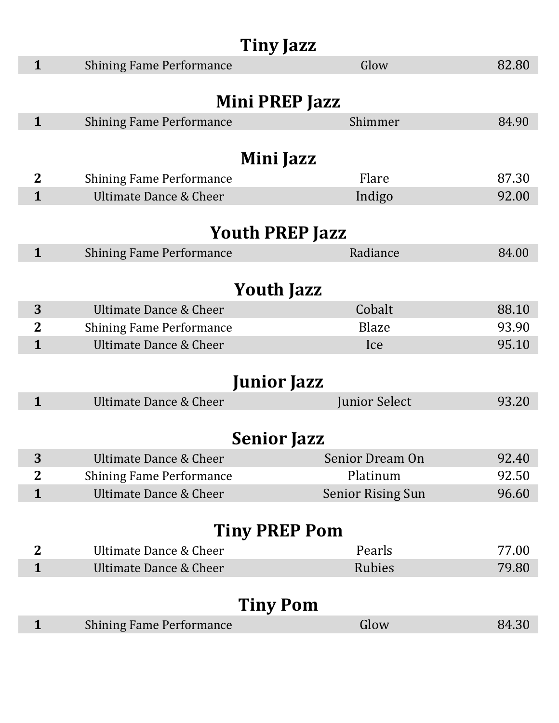| <b>Tiny Jazz</b>             |                                                                      |                          |       |  |
|------------------------------|----------------------------------------------------------------------|--------------------------|-------|--|
| $\mathbf{1}$                 | <b>Shining Fame Performance</b>                                      | Glow                     | 82.80 |  |
|                              |                                                                      |                          |       |  |
|                              |                                                                      | Mini PREP Jazz           |       |  |
| $\mathbf{1}$                 | <b>Shining Fame Performance</b>                                      | Shimmer                  | 84.90 |  |
|                              |                                                                      |                          |       |  |
|                              |                                                                      | Mini Jazz                |       |  |
| $\overline{2}$               | <b>Shining Fame Performance</b>                                      | Flare                    | 87.30 |  |
| $\mathbf{1}$                 | Ultimate Dance & Cheer                                               | Indigo                   | 92.00 |  |
|                              |                                                                      |                          |       |  |
|                              |                                                                      | <b>Youth PREP Jazz</b>   |       |  |
| $\mathbf{1}$                 | <b>Shining Fame Performance</b>                                      | Radiance                 | 84.00 |  |
|                              |                                                                      |                          |       |  |
|                              |                                                                      | <b>Youth Jazz</b>        |       |  |
| 3                            | Ultimate Dance & Cheer                                               | Cobalt                   | 88.10 |  |
| $\mathbf{2}$<br>$\mathbf{1}$ | <b>Shining Fame Performance</b><br><b>Ultimate Dance &amp; Cheer</b> | <b>Blaze</b>             | 93.90 |  |
|                              |                                                                      | Ice                      | 95.10 |  |
|                              |                                                                      | <b>Junior Jazz</b>       |       |  |
| $\mathbf{1}$                 | <b>Ultimate Dance &amp; Cheer</b>                                    | Junior Select            | 93.20 |  |
|                              |                                                                      |                          |       |  |
| <b>Senior Jazz</b>           |                                                                      |                          |       |  |
| 3                            | <b>Ultimate Dance &amp; Cheer</b>                                    | Senior Dream On          | 92.40 |  |
| $\mathbf{2}$                 | <b>Shining Fame Performance</b>                                      | Platinum                 | 92.50 |  |
| $\mathbf{1}$                 | <b>Ultimate Dance &amp; Cheer</b>                                    | <b>Senior Rising Sun</b> | 96.60 |  |
|                              |                                                                      |                          |       |  |
| <b>Tiny PREP Pom</b>         |                                                                      |                          |       |  |
| $\mathbf{2}$                 | Ultimate Dance & Cheer                                               | Pearls                   | 77.00 |  |
| $\mathbf{1}$                 | <b>Ultimate Dance &amp; Cheer</b>                                    | Rubies                   | 79.80 |  |
|                              |                                                                      |                          |       |  |
|                              |                                                                      | <b>Tiny Pom</b>          |       |  |
| $\mathbf{1}$                 | <b>Shining Fame Performance</b>                                      | Glow                     | 84.30 |  |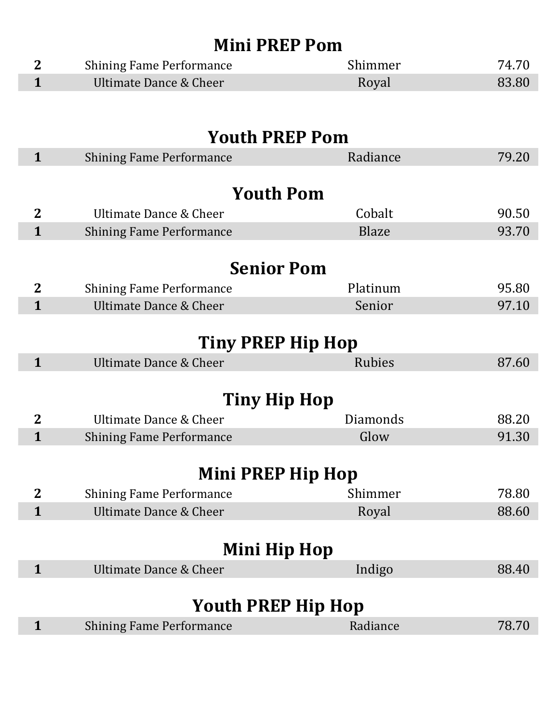| <b>Mini PREP Pom</b> |                                   |               |       |  |  |
|----------------------|-----------------------------------|---------------|-------|--|--|
| $\mathbf{2}$         | <b>Shining Fame Performance</b>   | Shimmer       | 74.70 |  |  |
| $\mathbf{1}$         | <b>Ultimate Dance &amp; Cheer</b> | Royal         | 83.80 |  |  |
|                      |                                   |               |       |  |  |
|                      | <b>Youth PREP Pom</b>             |               |       |  |  |
| $\mathbf{1}$         | <b>Shining Fame Performance</b>   | Radiance      | 79.20 |  |  |
|                      |                                   |               |       |  |  |
|                      | <b>Youth Pom</b>                  |               |       |  |  |
| $\overline{2}$       | Ultimate Dance & Cheer            | Cobalt        | 90.50 |  |  |
| $\mathbf{1}$         | <b>Shining Fame Performance</b>   | <b>Blaze</b>  | 93.70 |  |  |
|                      |                                   |               |       |  |  |
|                      | <b>Senior Pom</b>                 |               |       |  |  |
| $\overline{2}$       | <b>Shining Fame Performance</b>   | Platinum      | 95.80 |  |  |
| $\mathbf{1}$         | <b>Ultimate Dance &amp; Cheer</b> | Senior        | 97.10 |  |  |
|                      |                                   |               |       |  |  |
|                      | Tiny PREP Hip Hop                 |               |       |  |  |
| $\mathbf{1}$         | <b>Ultimate Dance &amp; Cheer</b> | <b>Rubies</b> | 87.60 |  |  |
|                      |                                   |               |       |  |  |
|                      | Tiny Hip Hop                      |               |       |  |  |
| $\mathbf{2}$         | Ultimate Dance & Cheer            | Diamonds      | 88.20 |  |  |
| 1                    | <b>Shining Fame Performance</b>   | Glow          | 91.30 |  |  |
|                      |                                   |               |       |  |  |
|                      | Mini PREP Hip Hop                 |               |       |  |  |
| $\mathbf{2}$         | <b>Shining Fame Performance</b>   | Shimmer       | 78.80 |  |  |
| $\mathbf{1}$         | <b>Ultimate Dance &amp; Cheer</b> | Royal         | 88.60 |  |  |
|                      |                                   |               |       |  |  |
|                      | Mini Hip Hop                      |               |       |  |  |
| $\mathbf{1}$         | <b>Ultimate Dance &amp; Cheer</b> | Indigo        | 88.40 |  |  |
|                      |                                   |               |       |  |  |
|                      | <b>Youth PREP Hip Hop</b>         |               |       |  |  |
| 1                    | <b>Shining Fame Performance</b>   | Radiance      | 78.70 |  |  |